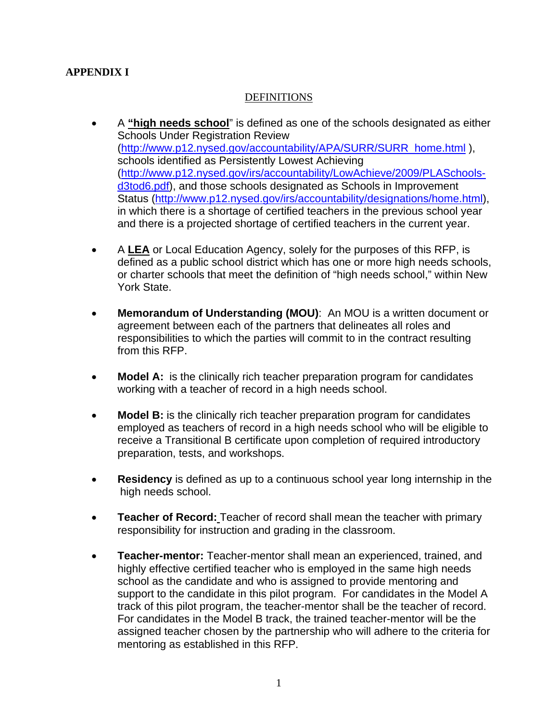## **APPENDIX I**

## DEFINITIONS

- A **"high needs school**" is defined as one of the schools designated as either Schools Under Registration Review ([http://www.p12.nysed.gov/accountability/APA/SURR/SURR\\_home.html](http://www.p12.nysed.gov/accountability/APA/SURR/SURR_home.html) ), schools identified as Persistently Lowest Achieving ([http://www.p12.nysed.gov/irs/accountability/LowAchieve/2009/PLASchools](http://www.p12.nysed.gov/irs/accountability/LowAchieve/2009/PLASchools-d3tod6.pdf)[d3tod6.pdf\)](http://www.p12.nysed.gov/irs/accountability/LowAchieve/2009/PLASchools-d3tod6.pdf), and those schools designated as Schools in Improvement Status [\(http://www.p12.nysed.gov/irs/accountability/designations/home.html\)](http://www.p12.nysed.gov/irs/accountability/designations/home.html), in which there is a shortage of certified teachers in the previous school year and there is a projected shortage of certified teachers in the current year.
- A **LEA** or Local Education Agency, solely for the purposes of this RFP, is defined as a public school district which has one or more high needs schools, or charter schools that meet the definition of "high needs school," within New York State.
- **Memorandum of Understanding (MOU)**: An MOU is a written document or agreement between each of the partners that delineates all roles and responsibilities to which the parties will commit to in the contract resulting from this RFP.
- Model A: is the clinically rich teacher preparation program for candidates working with a teacher of record in a high needs school.
- **Model B:** is the clinically rich teacher preparation program for candidates employed as teachers of record in a high needs school who will be eligible to receive a Transitional B certificate upon completion of required introductory preparation, tests, and workshops.
- **Residency** is defined as up to a continuous school year long internship in the high needs school.
- **Teacher of Record:** Teacher of record shall mean the teacher with primary responsibility for instruction and grading in the classroom.
- **Teacher-mentor:** Teacher-mentor shall mean an experienced, trained, and highly effective certified teacher who is employed in the same high needs school as the candidate and who is assigned to provide mentoring and support to the candidate in this pilot program. For candidates in the Model A track of this pilot program, the teacher-mentor shall be the teacher of record. For candidates in the Model B track, the trained teacher-mentor will be the assigned teacher chosen by the partnership who will adhere to the criteria for mentoring as established in this RFP.